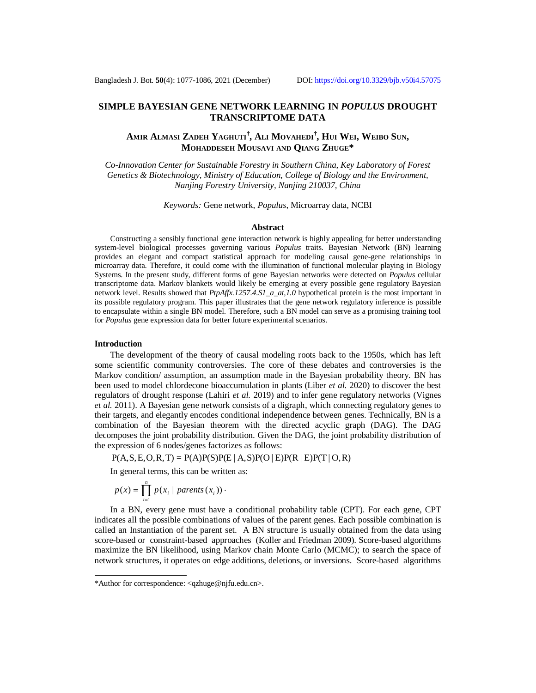# **SIMPLE BAYESIAN GENE NETWORK LEARNING IN** *POPULUS* **DROUGHT TRANSCRIPTOME DATA**

Amir Alması Zadeh Yaghuti<sup>†</sup>, Ali Movahedi<sup>†</sup>, Hui Wei, Weibo Sun, **MOHADDESEH MOUSAVI AND QIANG ZHUGE\***

*Co-Innovation Center for Sustainable Forestry in Southern China, Key Laboratory of Forest Genetics & Biotechnology, Ministry of Education, College of Biology and the Environment, Nanjing Forestry University, Nanjing 210037, China*

*Keywords:* Gene network, *Populus*, Microarray data, NCBI

### **Abstract**

Constructing a sensibly functional gene interaction network is highly appealing for better understanding system-level biological processes governing various *Populus* traits. Bayesian Network (BN) learning provides an elegant and compact statistical approach for modeling causal gene-gene relationships in microarray data. Therefore, it could come with the illumination of functional molecular playing in Biology Systems. In the present study, different forms of gene Bayesian networks were detected on *Populus* cellular transcriptome data. Markov blankets would likely be emerging at every possible gene regulatory Bayesian network level. Results showed that *PtpAffx.1257.4.S1\_a\_at,1.0* hypothetical protein is the most important in its possible regulatory program. This paper illustrates that the gene network regulatory inference is possible to encapsulate within a single BN model. Therefore, such a BN model can serve as a promising training tool for *Populus* gene expression data for better future experimental scenarios.

#### **Introduction**

The development of the theory of causal modeling roots back to the 1950s, which has left some scientific community controversies. The core of these debates and controversies is the Markov condition/ assumption, an assumption made in the Bayesian probability theory. BN has been used to model chlordecone bioaccumulation in plants (Liber *et al.* 2020) to discover the best regulators of drought response (Lahiri *et al.* 2019) and to infer gene regulatory networks (Vignes *et al.* 2011). A Bayesian gene network consists of a digraph, which connecting regulatory genes to their targets, and elegantly encodes conditional independence between genes. Technically, BN is a combination of the Bayesian theorem with the directed acyclic graph (DAG). The DAG decomposes the joint probability distribution. Given the DAG, the joint probability distribution of the expression of 6 nodes/genes factorizes as follows:

 $P(A, S, E, O, R, T) = P(A)P(S)P(E | A, S)P(O | E)P(R | E)P(T | O, R)$ 

In general terms, this can be written as:

$$
p(x) = \prod_{i=1}^{n} p(x_i \mid parents(x_i)) \cdot
$$

In a BN, every gene must have a conditional probability table (CPT). For each gene, CPT indicates all the possible combinations of values of the parent genes. Each possible combination is called an Instantiation of the parent set. A BN structure is usually obtained from the data using score-based or constraint-based approaches (Koller and Friedman 2009). Score-based algorithms maximize the BN likelihood, using Markov chain Monte Carlo (MCMC); to search the space of network structures, it operates on edge additions, deletions, or inversions. Score-based algorithms

<sup>\*</sup>Author for correspondence: [<qzhuge@njfu.edu.cn](mailto:qzhuge@njfu.edu.cn)>.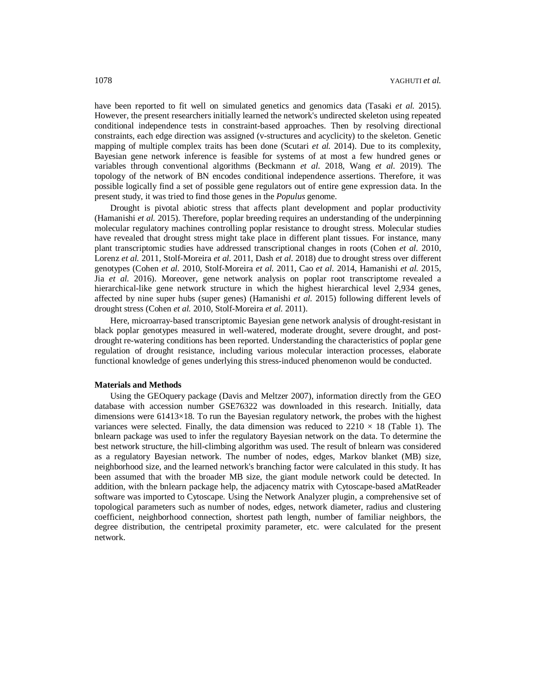have been reported to fit well on simulated genetics and genomics data (Tasaki *et al.* 2015). However, the present researchers initially learned the network's undirected skeleton using repeated conditional independence tests in constraint-based approaches. Then by resolving directional constraints, each edge direction was assigned (v-structures and acyclicity) to the skeleton. Genetic mapping of multiple complex traits has been done (Scutari *et al.* 2014). Due to its complexity, Bayesian gene network inference is feasible for systems of at most a few hundred genes or variables through conventional algorithms (Beckmann *et al.* 2018, Wang *et al.* 2019). The topology of the network of BN encodes conditional independence assertions. Therefore, it was possible logically find a set of possible gene regulators out of entire gene expression data. In the present study, it was tried to find those genes in the *Populus* genome.

Drought is pivotal abiotic stress that affects plant development and poplar productivity (Hamanishi *et al.* 2015). Therefore, poplar breeding requires an understanding of the underpinning molecular regulatory machines controlling poplar resistance to drought stress. Molecular studies have revealed that drought stress might take place in different plant tissues. For instance, many plant transcriptomic studies have addressed transcriptional changes in roots (Cohen *et al.* 2010, Lorenz *et al.* 2011, Stolf-Moreira *et al.* 2011, Dash *et al.* 2018) due to drought stress over different genotypes (Cohen *et al.* 2010, Stolf-Moreira *et al.* 2011, Cao *et al.* 2014, Hamanishi *et al.* 2015, Jia *et al.* 2016). Moreover, gene network analysis on poplar root transcriptome revealed a hierarchical-like gene network structure in which the highest hierarchical level 2,934 genes, affected by nine super hubs (super genes) (Hamanishi *et al.* 2015) following different levels of drought stress (Cohen *et al.* 2010, Stolf-Moreira *et al.* 2011).

Here, microarray-based transcriptomic Bayesian gene network analysis of drought-resistant in black poplar genotypes measured in well-watered, moderate drought, severe drought, and postdrought re-watering conditions has been reported. Understanding the characteristics of poplar gene regulation of drought resistance, including various molecular interaction processes, elaborate functional knowledge of genes underlying this stress-induced phenomenon would be conducted.

### **Materials and Methods**

Using the GEOquery package (Davis and Meltzer 2007), information directly from the GEO database with accession number GSE76322 was downloaded in this research. Initially, data dimensions were  $61413\times18$ . To run the Bayesian regulatory network, the probes with the highest variances were selected. Finally, the data dimension was reduced to  $2210 \times 18$  (Table 1). The bnlearn package was used to infer the regulatory Bayesian network on the data. To determine the best network structure, the hill-climbing algorithm was used. The result of bnlearn was considered as a regulatory Bayesian network. The number of nodes, edges, Markov blanket (MB) size, neighborhood size, and the learned network's branching factor were calculated in this study. It has been assumed that with the broader MB size, the giant module network could be detected. In addition, with the bnlearn package help, the adjacency matrix with Cytoscape-based aMatReader software was imported to Cytoscape. Using the Network Analyzer plugin, a comprehensive set of topological parameters such as number of nodes, edges, network diameter, radius and clustering coefficient, neighborhood connection, shortest path length, number of familiar neighbors, the degree distribution, the centripetal proximity parameter, etc. were calculated for the present network.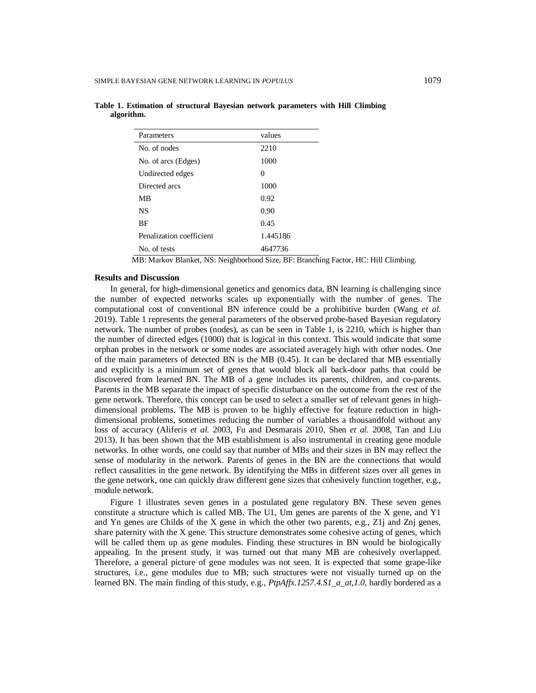| Parameters               | values   |
|--------------------------|----------|
| No. of nodes             | 2210     |
| No. of arcs (Edges)      | 1000     |
| Undirected edges         | 0        |
| Directed arcs            | 1000     |
| МB                       | 0.92     |
| <b>NS</b>                | 0.90     |
| ВF                       | 0.45     |
| Penalization coefficient | 1.445186 |
| No. of tests             | 4647736  |

**Table 1. Estimation of structural Bayesian network parameters with Hill Climbing algorithm.**

MB: Markov Blanket, NS: Neighborhood Size, BF: Branching Factor, HC: Hill Climbing.

#### **Results and Discussion**

In general, for high-dimensional genetics and genomics data, BN learning is challenging since the number of expected networks scales up exponentially with the number of genes. The computational cost of conventional BN inference could be a prohibitive burden (Wang *et al.* 2019). Table 1 represents the general parameters of the observed probe-based Bayesian regulatory network. The number of probes (nodes), as can be seen in Table 1, is 2210, which is higher than the number of directed edges (1000) that is logical in this context. This would indicate that some orphan probes in the network or some nodes are associated averagely high with other nodes. One of the main parameters of detected BN is the MB (0.45). It can be declared that MB essentially and explicitly is a minimum set of genes that would block all back-door paths that could be discovered from learned BN. The MB of a gene includes its parents, children, and co-parents. Parents in the MB separate the impact of specific disturbance on the outcome from the rest of the gene network. Therefore, this concept can be used to select a smaller set of relevant genes in highdimensional problems. The MB is proven to be highly effective for feature reduction in highdimensional problems, sometimes reducing the number of variables a thousandfold without any loss of accuracy (Aliferis *et al.* 2003, Fu and Desmarais 2010, Shen *et al.* 2008, Tan and Liu 2013). It has been shown that the MB establishment is also instrumental in creating gene module networks. In other words, one could say that number of MBs and their sizes in BN may reflect the sense of modularity in the network. Parents of genes in the BN are the connections that would reflect causalities in the gene network. By identifying the MBs in different sizes over all genes in the gene network, one can quickly draw different gene sizes that cohesively function together, e.g., module network.

Figure 1 illustrates seven genes in a postulated gene regulatory BN. These seven genes constitute a structure which is called MB. The U1, Um genes are parents of the  $X$  gene, and Y1 and Yn genes are Childs of the X gene in which the other two parents, e.g., Z1j and Znj genes, share paternity with the X gene. This structure demonstrates some cohesive acting of genes, which will be called them up as gene modules. Finding these structures in BN would be biologically appealing. In the present study, it was turned out that many MB are cohesively overlapped. Therefore, a general picture of gene modules was not seen. It is expected that some grape-like structures, i.e., gene modules due to MB; such structures were not visually turned up on the learned BN. The main finding of this study, e.g., *PtpAffx.1257.4.S1\_a\_at,1.0,* hardly bordered as a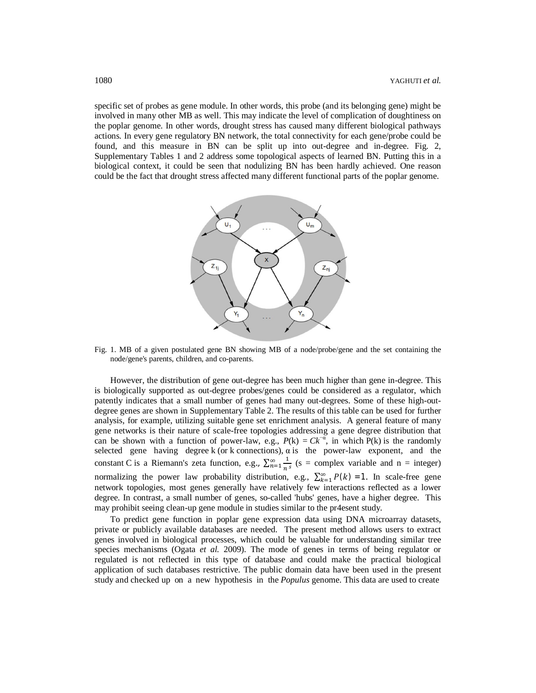specific set of probes as gene module. In other words, this probe (and its belonging gene) might be involved in many other MB as well. This may indicate the level of complication of doughtiness on the poplar genome. In other words, drought stress has caused many different biological pathways actions. In every gene regulatory BN network, the total connectivity for each gene/probe could be found, and this measure in BN can be split up into out-degree and in-degree. Fig. 2, Supplementary Tables 1 and 2 address some topological aspects of learned BN. Putting this in a biological context, it could be seen that nodulizing BN has been hardly achieved. One reason could be the fact that drought stress affected many different functional parts of the poplar genome.



Fig. 1. MB of a given postulated gene BN showing MB of a node/probe/gene and the set containing the node/gene's parents, children, and co-parents.

However, the distribution of gene out-degree has been much higher than gene in-degree. This is biologically supported as out-degree probes/genes could be considered as a regulator, which patently indicates that a small number of genes had many out-degrees. Some of these high-outdegree genes are shown in Supplementary Table 2. The results of this table can be used for further analysis, for example, utilizing suitable gene set enrichment analysis. A general feature of many gene networks is their nature of scale-free topologies addressing a gene degree distribution that can be shown with a function of power-law, e.g.,  $P(k) = Ck^{-\alpha}$ , in which  $P(k)$  is the randomly selected gene having degree k (or k connections),  $\alpha$  is the power-law exponent, and the constant C is a Riemann's zeta function, e.g.,  $\sum_{n=1}^{\infty} \frac{1}{n}$  $\sum_{n=1}^{\infty} \frac{1}{n^s}$  (s = complex variable and n = integer) normalizing the power law probability distribution, e.g.,  $\sum_{k=1}^{\infty} P(k) = 1$ . In scale-free gene network topologies, most genes generally have relatively few interactions reflected as a lower degree. In contrast, a small number of genes, so-called 'hubs' genes, have a higher degree. This may prohibit seeing clean-up gene module in studies similar to the pr4esent study.

To predict gene function in poplar gene expression data using DNA microarray datasets, private or publicly available databases are needed. The present method allows users to extract genes involved in biological processes, which could be valuable for understanding similar tree species mechanisms (Ogata *et al.* 2009). The mode of genes in terms of being regulator or regulated is not reflected in this type of database and could make the practical biological application of such databases restrictive. The public domain data have been used in the present study and checked up on a new hypothesis in the *Populus* genome. This data are used to create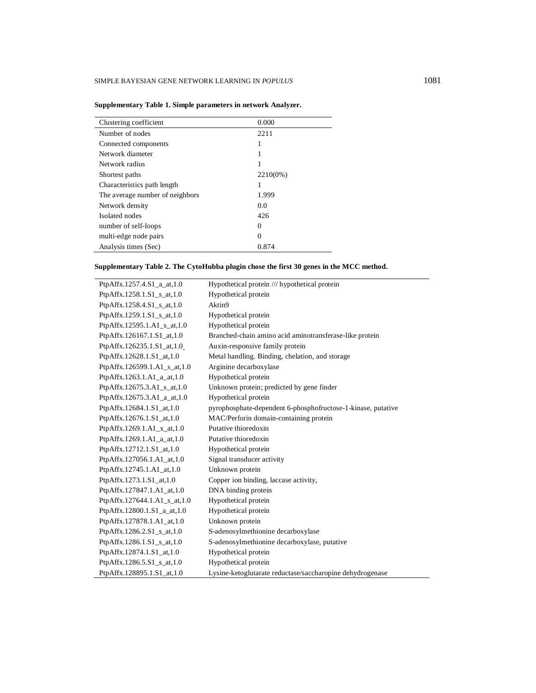| Clustering coefficient          | 0.000    |
|---------------------------------|----------|
| Number of nodes                 | 2211     |
| Connected components            | 1        |
| Network diameter                | 1        |
| Network radius                  |          |
| Shortest paths                  | 2210(0%) |
| Characteristics path length     |          |
| The average number of neighbors | 1.999    |
| Network density                 | 0.0      |
| Isolated nodes                  | 426      |
| number of self-loops            | 0        |
| multi-edge node pairs           | 0        |
| Analysis times (Sec)            | 0.874    |

| Supplementary Table 1. Simple parameters in network Analyzer. |
|---------------------------------------------------------------|
|---------------------------------------------------------------|

# **Supplementary Table 2. The CytoHubba plugin chose the first 30 genes in the MCC method.**

| PtpAffx.1257.4.S1_a_at,1.0   | Hypothetical protein /// hypothetical protein                |
|------------------------------|--------------------------------------------------------------|
| PtpAffx.1258.1.S1_s_at,1.0   | Hypothetical protein                                         |
| PtpAffx.1258.4.S1_s_at,1.0   | Aktin9                                                       |
| PtpAffx.1259.1.S1_s_at,1.0   | Hypothetical protein                                         |
| PtpAffx.12595.1.A1_s_at,1.0  | Hypothetical protein                                         |
| PtpAffx.126167.1.S1_at,1.0   | Branched-chain amino acid aminotransferase-like protein      |
| PtpAffx.126235.1.S1_at,1.0   | Auxin-responsive family protein                              |
| PtpAffx.12628.1.S1 at,1.0    | Metal handling. Binding, chelation, and storage              |
| PtpAffx.126599.1.A1_s_at,1.0 | Arginine decarboxylase                                       |
| PtpAffx.1263.1.A1_a_at,1.0   | Hypothetical protein                                         |
| PtpAffx.12675.3.A1_s_at,1.0  | Unknown protein; predicted by gene finder                    |
| PtpAffx.12675.3.A1_a_at,1.0  | Hypothetical protein                                         |
| PtpAffx.12684.1.S1 at,1.0    | pyrophosphate-dependent 6-phosphofructose-1-kinase, putative |
| PtpAffx.12676.1.S1_at,1.0    | MAC/Perforin domain-containing protein                       |
| PtpAffx.1269.1.A1_x_at,1.0   | Putative thioredoxin                                         |
| PtpAffx.1269.1.A1_a_at,1.0   | Putative thioredoxin                                         |
| PtpAffx.12712.1.S1_at,1.0    | Hypothetical protein                                         |
| PtpAffx.127056.1.A1_at,1.0   | Signal transducer activity                                   |
| PtpAffx.12745.1.A1_at,1.0    | Unknown protein                                              |
| PtpAffx.1273.1.S1_at,1.0     | Copper ion binding, laccase activity,                        |
| PtpAffx.127847.1.A1_at,1.0   | DNA binding protein                                          |
| PtpAffx.127644.1.A1_s_at,1.0 | Hypothetical protein                                         |
| PtpAffx.12800.1.S1_a_at,1.0  | Hypothetical protein                                         |
| PtpAffx.127878.1.A1_at,1.0   | Unknown protein                                              |
| PtpAffx.1286.2.S1_s_at,1.0   | S-adenosylmethionine decarboxylase                           |
| PtpAffx.1286.1.S1_s_at,1.0   | S-adenosylmethionine decarboxylase, putative                 |
| PtpAffx.12874.1.S1_at,1.0    | Hypothetical protein                                         |
| PtpAffx.1286.5.S1_s_at,1.0   | Hypothetical protein                                         |
| PtpAffx.128895.1.S1 at,1.0   | Lysine-ketoglutarate reductase/saccharopine dehydrogenase    |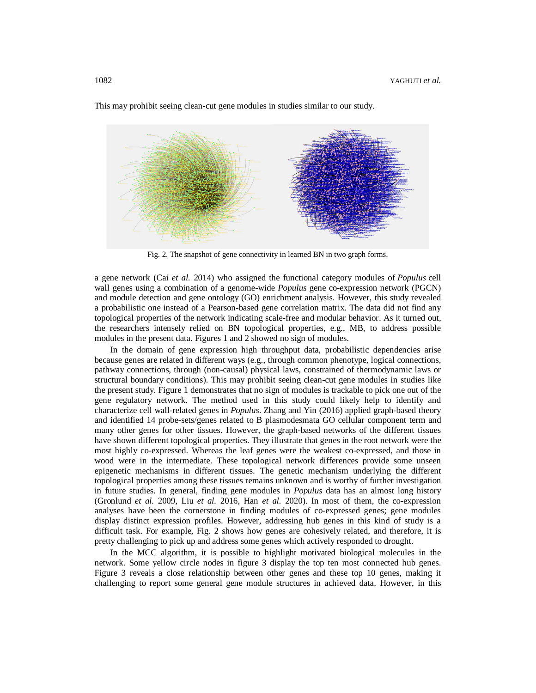

This may prohibit seeing clean-cut gene modules in studies similar to our study.

Fig. 2. The snapshot of gene connectivity in learned BN in two graph forms.

a gene network (Cai *et al.* 2014) who assigned the functional category modules of *Populus* cell wall genes using a combination of a genome-wide *Populus* gene co-expression network (PGCN) and module detection and gene ontology (GO) enrichment analysis. However, this study revealed a probabilistic one instead of a Pearson-based gene correlation matrix. The data did not find any topological properties of the network indicating scale-free and modular behavior. As it turned out, the researchers intensely relied on BN topological properties, e.g., MB, to address possible modules in the present data. Figures 1 and 2 showed no sign of modules.

In the domain of gene expression high throughput data, probabilistic dependencies arise because genes are related in different ways (e.g., through common phenotype, logical connections, pathway connections, through (non-causal) physical laws, constrained of thermodynamic laws or structural boundary conditions). This may prohibit seeing clean-cut gene modules in studies like the present study. Figure 1 demonstrates that no sign of modules is trackable to pick one out of the gene regulatory network. The method used in this study could likely help to identify and characterize cell wall-related genes in *Populus*. Zhang and Yin (2016) applied graph-based theory and identified 14 probe-sets/genes related to B plasmodesmata GO cellular component term and many other genes for other tissues. However, the graph-based networks of the different tissues have shown different topological properties. They illustrate that genes in the root network were the most highly co-expressed. Whereas the leaf genes were the weakest co-expressed, and those in wood were in the intermediate. These topological network differences provide some unseen epigenetic mechanisms in different tissues. The genetic mechanism underlying the different topological properties among these tissues remains unknown and is worthy of further investigation in future studies. In general, finding gene modules in *Populus* data has an almost long history (Gronlund *et al.* 2009, Liu *et al.* 2016, Han *et al.* 2020). In most of them, the co-expression analyses have been the cornerstone in finding modules of co-expressed genes; gene modules display distinct expression profiles. However, addressing hub genes in this kind of study is a difficult task. For example, Fig. 2 shows how genes are cohesively related, and therefore, it is pretty challenging to pick up and address some genes which actively responded to drought.

In the MCC algorithm, it is possible to highlight motivated biological molecules in the network. Some yellow circle nodes in figure 3 display the top ten most connected hub genes. Figure 3 reveals a close relationship between other genes and these top 10 genes, making it challenging to report some general gene module structures in achieved data. However, in this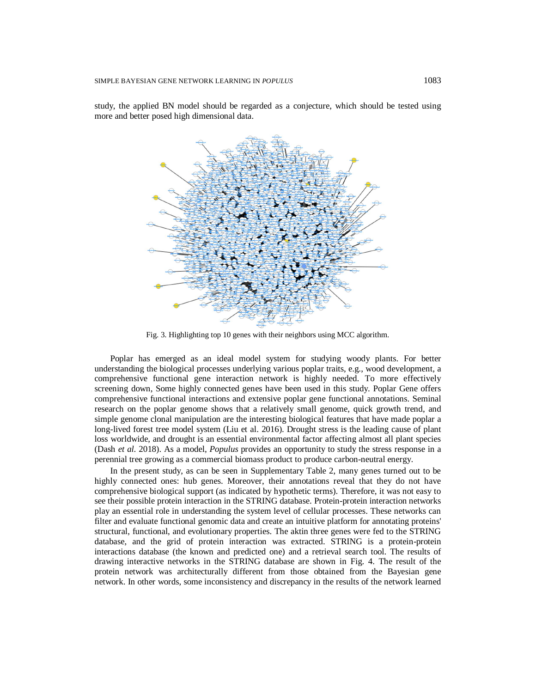study, the applied BN model should be regarded as a conjecture, which should be tested using more and better posed high dimensional data.



Fig. 3. Highlighting top 10 genes with their neighbors using MCC algorithm.

Poplar has emerged as an ideal model system for studying woody plants. For better understanding the biological processes underlying various poplar traits, e.g., wood development, a comprehensive functional gene interaction network is highly needed. To more effectively screening down, Some highly connected genes have been used in this study. Poplar Gene offers comprehensive functional interactions and extensive poplar gene functional annotations. Seminal research on the poplar genome shows that a relatively small genome, quick growth trend, and simple genome clonal manipulation are the interesting biological features that have made poplar a long-lived forest tree model system (Liu et al. 2016). Drought stress is the leading cause of plant loss worldwide, and drought is an essential environmental factor affecting almost all plant species (Dash *et al.* 2018). As a model, *Populus* provides an opportunity to study the stress response in a perennial tree growing as a commercial biomass product to produce carbon-neutral energy.

In the present study, as can be seen in Supplementary Table 2, many genes turned out to be highly connected ones: hub genes. Moreover, their annotations reveal that they do not have comprehensive biological support (as indicated by hypothetic terms). Therefore, it was not easy to see their possible protein interaction in the STRING database. Protein-protein interaction networks play an essential role in understanding the system level of cellular processes. These networks can filter and evaluate functional genomic data and create an intuitive platform for annotating proteins' structural, functional, and evolutionary properties. The aktin three genes were fed to the STRING database, and the grid of protein interaction was extracted. STRING is a protein-protein interactions database (the known and predicted one) and a retrieval search tool. The results of drawing interactive networks in the STRING database are shown in Fig. 4. The result of the protein network was architecturally different from those obtained from the Bayesian gene network. In other words, some inconsistency and discrepancy in the results of the network learned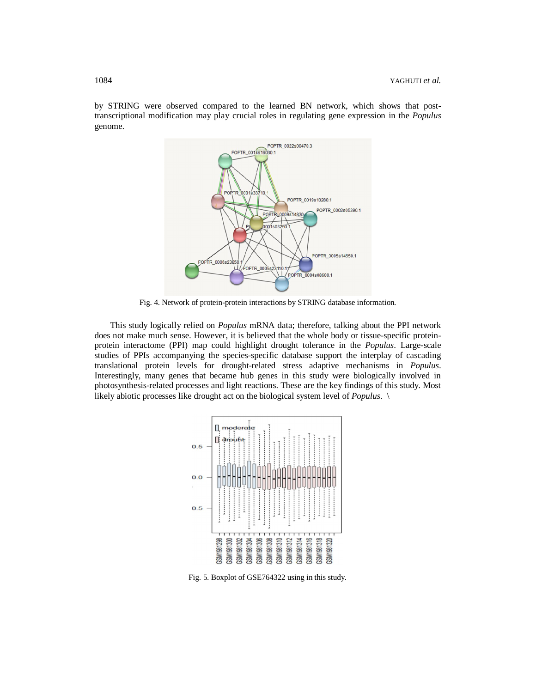by STRING were observed compared to the learned BN network, which shows that posttranscriptional modification may play crucial roles in regulating gene expression in the *Populus* genome.



Fig. 4. Network of protein-protein interactions by STRING database information.

This study logically relied on *Populus* mRNA data; therefore, talking about the PPI network does not make much sense. However, it is believed that the whole body or tissue-specific proteinprotein interactome (PPI) map could highlight drought tolerance in the *Populus*. Large-scale studies of PPIs accompanying the species-specific database support the interplay of cascading translational protein levels for drought-related stress adaptive mechanisms in *Populus*. Interestingly, many genes that became hub genes in this study were biologically involved in photosynthesis-related processes and light reactions. These are the key findings of this study. Most likely abiotic processes like drought act on the biological system level of *Populus*. \



Fig. 5. Boxplot of GSE764322 using in this study.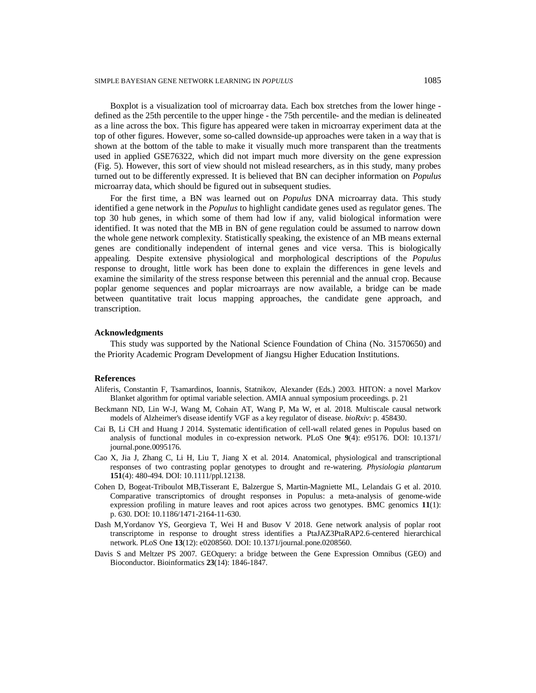Boxplot is a visualization tool of microarray data. Each box stretches from the lower hinge defined as the 25th percentile to the upper hinge - the 75th percentile- and the median is delineated as a line across the box. This figure has appeared were taken in microarray experiment data at the top of other figures. However, some so-called downside-up approaches were taken in a way that is shown at the bottom of the table to make it visually much more transparent than the treatments used in applied GSE76322, which did not impart much more diversity on the gene expression (Fig. 5). However, this sort of view should not mislead researchers, as in this study, many probes turned out to be differently expressed. It is believed that BN can decipher information on *Populus* microarray data, which should be figured out in subsequent studies.

For the first time, a BN was learned out on *Populus* DNA microarray data. This study identified a gene network in the *Populus* to highlight candidate genes used as regulator genes. The top 30 hub genes, in which some of them had low if any, valid biological information were identified. It was noted that the MB in BN of gene regulation could be assumed to narrow down the whole gene network complexity. Statistically speaking, the existence of an MB means external genes are conditionally independent of internal genes and vice versa. This is biologically appealing. Despite extensive physiological and morphological descriptions of the *Populus* response to drought, little work has been done to explain the differences in gene levels and examine the similarity of the stress response between this perennial and the annual crop. Because poplar genome sequences and poplar microarrays are now available, a bridge can be made between quantitative trait locus mapping approaches, the candidate gene approach, and transcription.

#### **Acknowledgments**

This study was supported by the National Science Foundation of China (No. 31570650) and the Priority Academic Program Development of Jiangsu Higher Education Institutions.

### **References**

- Aliferis, Constantin F, Tsamardinos, Ioannis, Statnikov, Alexander (Eds.) 2003. HITON: a novel Markov Blanket algorithm for optimal variable selection. AMIA annual symposium proceedings. p. 21
- Beckmann ND, Lin W-J, Wang M, Cohain AT, Wang P, Ma W, et al. 2018. Multiscale causal network models of Alzheimer's disease identify VGF as a key regulator of disease. *bioRxiv*: p. 458430.
- Cai B, Li CH and Huang J 2014. Systematic identification of cell-wall related genes in Populus based on analysis of functional modules in co-expression network. PLoS One **9**(4): e95176. DOI: 10.1371/ journal.pone.0095176.
- Cao X, Jia J, Zhang C, Li H, Liu T, Jiang X et al. 2014. Anatomical, physiological and transcriptional responses of two contrasting poplar genotypes to drought and re-watering. *Physiologia plantarum*  **151**(4): 480-494. DOI: 10.1111/ppl.12138.
- Cohen D, Bogeat-Triboulot MB,Tisserant E, Balzergue S, Martin-Magniette ML, Lelandais G et al. 2010. Comparative transcriptomics of drought responses in Populus: a meta-analysis of genome-wide expression profiling in mature leaves and root apices across two genotypes. BMC genomics **11**(1): p. 630. DOI: 10.1186/1471-2164-11-630.
- Dash M,Yordanov YS, Georgieva T, Wei H and Busov V 2018. Gene network analysis of poplar root transcriptome in response to drought stress identifies a PtaJAZ3PtaRAP2.6-centered hierarchical network. PLoS One **13**(12): e0208560. DOI: 10.1371/journal.pone.0208560.
- Davis S and Meltzer PS 2007. GEOquery: a bridge between the Gene Expression Omnibus (GEO) and Bioconductor. Bioinformatics **23**(14): 1846-1847.